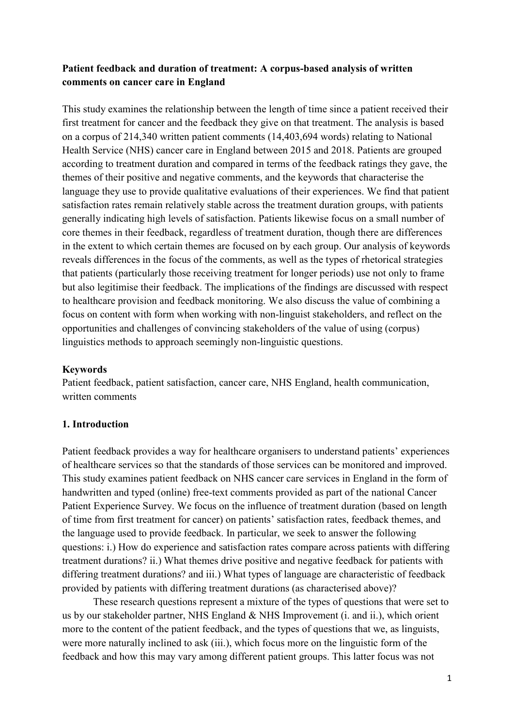# **Patient feedback and duration of treatment: A corpus-based analysis of written comments on cancer care in England**

This study examines the relationship between the length of time since a patient received their first treatment for cancer and the feedback they give on that treatment. The analysis is based on a corpus of 214,340 written patient comments (14,403,694 words) relating to National Health Service (NHS) cancer care in England between 2015 and 2018. Patients are grouped according to treatment duration and compared in terms of the feedback ratings they gave, the themes of their positive and negative comments, and the keywords that characterise the language they use to provide qualitative evaluations of their experiences. We find that patient satisfaction rates remain relatively stable across the treatment duration groups, with patients generally indicating high levels of satisfaction. Patients likewise focus on a small number of core themes in their feedback, regardless of treatment duration, though there are differences in the extent to which certain themes are focused on by each group. Our analysis of keywords reveals differences in the focus of the comments, as well as the types of rhetorical strategies that patients (particularly those receiving treatment for longer periods) use not only to frame but also legitimise their feedback. The implications of the findings are discussed with respect to healthcare provision and feedback monitoring. We also discuss the value of combining a focus on content with form when working with non-linguist stakeholders, and reflect on the opportunities and challenges of convincing stakeholders of the value of using (corpus) linguistics methods to approach seemingly non-linguistic questions.

## **Keywords**

Patient feedback, patient satisfaction, cancer care, NHS England, health communication, written comments

## **1. Introduction**

Patient feedback provides a way for healthcare organisers to understand patients' experiences of healthcare services so that the standards of those services can be monitored and improved. This study examines patient feedback on NHS cancer care services in England in the form of handwritten and typed (online) free-text comments provided as part of the national Cancer Patient Experience Survey. We focus on the influence of treatment duration (based on length of time from first treatment for cancer) on patients' satisfaction rates, feedback themes, and the language used to provide feedback. In particular, we seek to answer the following questions: i.) How do experience and satisfaction rates compare across patients with differing treatment durations? ii.) What themes drive positive and negative feedback for patients with differing treatment durations? and iii.) What types of language are characteristic of feedback provided by patients with differing treatment durations (as characterised above)?

These research questions represent a mixture of the types of questions that were set to us by our stakeholder partner, NHS England & NHS Improvement (i. and ii.), which orient more to the content of the patient feedback, and the types of questions that we, as linguists, were more naturally inclined to ask (iii.), which focus more on the linguistic form of the feedback and how this may vary among different patient groups. This latter focus was not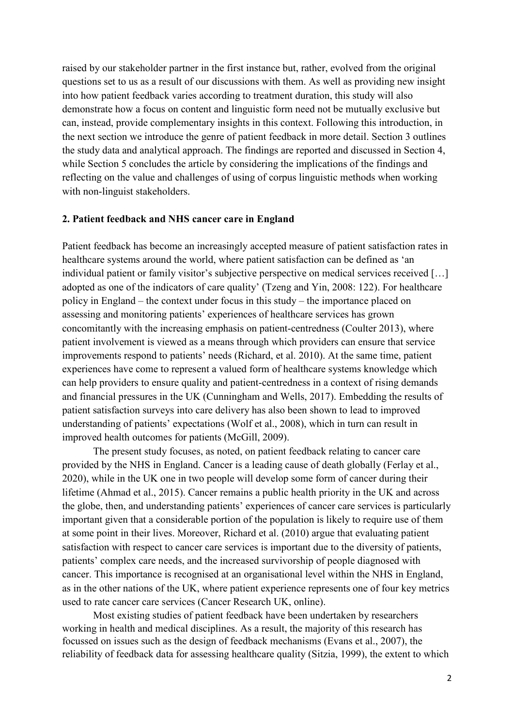raised by our stakeholder partner in the first instance but, rather, evolved from the original questions set to us as a result of our discussions with them. As well as providing new insight into how patient feedback varies according to treatment duration, this study will also demonstrate how a focus on content and linguistic form need not be mutually exclusive but can, instead, provide complementary insights in this context. Following this introduction, in the next section we introduce the genre of patient feedback in more detail. Section 3 outlines the study data and analytical approach. The findings are reported and discussed in Section 4, while Section 5 concludes the article by considering the implications of the findings and reflecting on the value and challenges of using of corpus linguistic methods when working with non-linguist stakeholders.

#### **2. Patient feedback and NHS cancer care in England**

Patient feedback has become an increasingly accepted measure of patient satisfaction rates in healthcare systems around the world, where patient satisfaction can be defined as 'an individual patient or family visitor's subjective perspective on medical services received […] adopted as one of the indicators of care quality' (Tzeng and Yin, 2008: 122). For healthcare policy in England – the context under focus in this study – the importance placed on assessing and monitoring patients' experiences of healthcare services has grown concomitantly with the increasing emphasis on patient-centredness (Coulter 2013), where patient involvement is viewed as a means through which providers can ensure that service improvements respond to patients' needs (Richard, et al. 2010). At the same time, patient experiences have come to represent a valued form of healthcare systems knowledge which can help providers to ensure quality and patient-centredness in a context of rising demands and financial pressures in the UK (Cunningham and Wells, 2017). Embedding the results of patient satisfaction surveys into care delivery has also been shown to lead to improved understanding of patients' expectations (Wolf et al., 2008), which in turn can result in improved health outcomes for patients (McGill, 2009).

The present study focuses, as noted, on patient feedback relating to cancer care provided by the NHS in England. Cancer is a leading cause of death globally (Ferlay et al., 2020), while in the UK one in two people will develop some form of cancer during their lifetime (Ahmad et al., 2015). Cancer remains a public health priority in the UK and across the globe, then, and understanding patients' experiences of cancer care services is particularly important given that a considerable portion of the population is likely to require use of them at some point in their lives. Moreover, Richard et al. (2010) argue that evaluating patient satisfaction with respect to cancer care services is important due to the diversity of patients, patients' complex care needs, and the increased survivorship of people diagnosed with cancer. This importance is recognised at an organisational level within the NHS in England, as in the other nations of the UK, where patient experience represents one of four key metrics used to rate cancer care services (Cancer Research UK, online).

Most existing studies of patient feedback have been undertaken by researchers working in health and medical disciplines. As a result, the majority of this research has focussed on issues such as the design of feedback mechanisms (Evans et al., 2007), the reliability of feedback data for assessing healthcare quality (Sitzia, 1999), the extent to which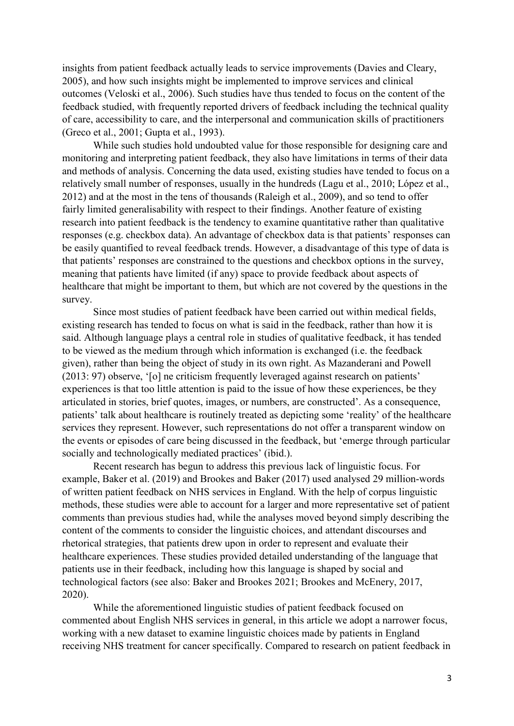insights from patient feedback actually leads to service improvements (Davies and Cleary, 2005), and how such insights might be implemented to improve services and clinical outcomes (Veloski et al., 2006). Such studies have thus tended to focus on the content of the feedback studied, with frequently reported drivers of feedback including the technical quality of care, accessibility to care, and the interpersonal and communication skills of practitioners (Greco et al., 2001; Gupta et al., 1993).

While such studies hold undoubted value for those responsible for designing care and monitoring and interpreting patient feedback, they also have limitations in terms of their data and methods of analysis. Concerning the data used, existing studies have tended to focus on a relatively small number of responses, usually in the hundreds (Lagu et al., 2010; López et al., 2012) and at the most in the tens of thousands (Raleigh et al., 2009), and so tend to offer fairly limited generalisability with respect to their findings. Another feature of existing research into patient feedback is the tendency to examine quantitative rather than qualitative responses (e.g. checkbox data). An advantage of checkbox data is that patients' responses can be easily quantified to reveal feedback trends. However, a disadvantage of this type of data is that patients' responses are constrained to the questions and checkbox options in the survey, meaning that patients have limited (if any) space to provide feedback about aspects of healthcare that might be important to them, but which are not covered by the questions in the survey.

Since most studies of patient feedback have been carried out within medical fields, existing research has tended to focus on what is said in the feedback, rather than how it is said. Although language plays a central role in studies of qualitative feedback, it has tended to be viewed as the medium through which information is exchanged (i.e. the feedback given), rather than being the object of study in its own right. As Mazanderani and Powell (2013: 97) observe, '[o] ne criticism frequently leveraged against research on patients' experiences is that too little attention is paid to the issue of how these experiences, be they articulated in stories, brief quotes, images, or numbers, are constructed'. As a consequence, patients' talk about healthcare is routinely treated as depicting some 'reality' of the healthcare services they represent. However, such representations do not offer a transparent window on the events or episodes of care being discussed in the feedback, but 'emerge through particular socially and technologically mediated practices' (ibid.).

Recent research has begun to address this previous lack of linguistic focus. For example, Baker et al. (2019) and Brookes and Baker (2017) used analysed 29 million-words of written patient feedback on NHS services in England. With the help of corpus linguistic methods, these studies were able to account for a larger and more representative set of patient comments than previous studies had, while the analyses moved beyond simply describing the content of the comments to consider the linguistic choices, and attendant discourses and rhetorical strategies, that patients drew upon in order to represent and evaluate their healthcare experiences. These studies provided detailed understanding of the language that patients use in their feedback, including how this language is shaped by social and technological factors (see also: Baker and Brookes 2021; Brookes and McEnery, 2017, 2020).

While the aforementioned linguistic studies of patient feedback focused on commented about English NHS services in general, in this article we adopt a narrower focus, working with a new dataset to examine linguistic choices made by patients in England receiving NHS treatment for cancer specifically. Compared to research on patient feedback in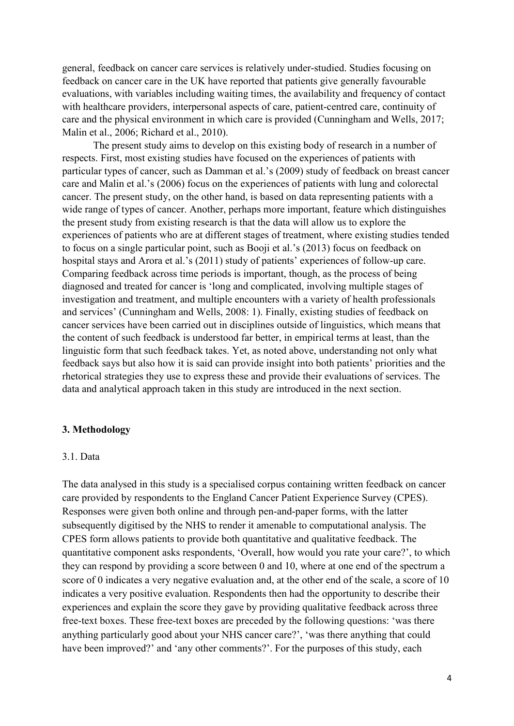general, feedback on cancer care services is relatively under-studied. Studies focusing on feedback on cancer care in the UK have reported that patients give generally favourable evaluations, with variables including waiting times, the availability and frequency of contact with healthcare providers, interpersonal aspects of care, patient-centred care, continuity of care and the physical environment in which care is provided (Cunningham and Wells, 2017; Malin et al., 2006; Richard et al., 2010).

The present study aims to develop on this existing body of research in a number of respects. First, most existing studies have focused on the experiences of patients with particular types of cancer, such as Damman et al.'s (2009) study of feedback on breast cancer care and Malin et al.'s (2006) focus on the experiences of patients with lung and colorectal cancer. The present study, on the other hand, is based on data representing patients with a wide range of types of cancer. Another, perhaps more important, feature which distinguishes the present study from existing research is that the data will allow us to explore the experiences of patients who are at different stages of treatment, where existing studies tended to focus on a single particular point, such as Booji et al.'s (2013) focus on feedback on hospital stays and Arora et al.'s (2011) study of patients' experiences of follow-up care. Comparing feedback across time periods is important, though, as the process of being diagnosed and treated for cancer is 'long and complicated, involving multiple stages of investigation and treatment, and multiple encounters with a variety of health professionals and services' (Cunningham and Wells, 2008: 1). Finally, existing studies of feedback on cancer services have been carried out in disciplines outside of linguistics, which means that the content of such feedback is understood far better, in empirical terms at least, than the linguistic form that such feedback takes. Yet, as noted above, understanding not only what feedback says but also how it is said can provide insight into both patients' priorities and the rhetorical strategies they use to express these and provide their evaluations of services. The data and analytical approach taken in this study are introduced in the next section.

#### **3. Methodology**

#### 3.1. Data

The data analysed in this study is a specialised corpus containing written feedback on cancer care provided by respondents to the England Cancer Patient Experience Survey (CPES). Responses were given both online and through pen-and-paper forms, with the latter subsequently digitised by the NHS to render it amenable to computational analysis. The CPES form allows patients to provide both quantitative and qualitative feedback. The quantitative component asks respondents, 'Overall, how would you rate your care?', to which they can respond by providing a score between 0 and 10, where at one end of the spectrum a score of 0 indicates a very negative evaluation and, at the other end of the scale, a score of 10 indicates a very positive evaluation. Respondents then had the opportunity to describe their experiences and explain the score they gave by providing qualitative feedback across three free-text boxes. These free-text boxes are preceded by the following questions: 'was there anything particularly good about your NHS cancer care?', 'was there anything that could have been improved?' and 'any other comments?'. For the purposes of this study, each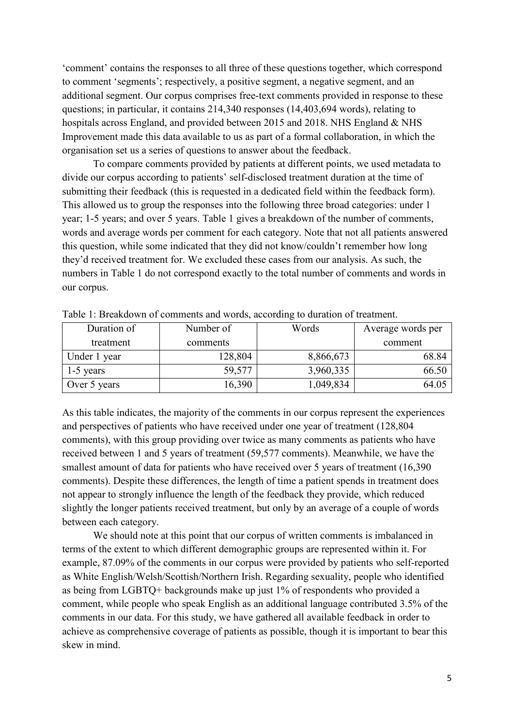'comment' contains the responses to all three of these questions together, which correspond to comment 'segments'; respectively, a positive segment, a negative segment, and an additional segment. Our corpus comprises free-text comments provided in response to these questions; in particular, it contains 214,340 responses (14,403,694 words), relating to hospitals across England, and provided between 2015 and 2018. NHS England & NHS Improvement made this data available to us as part of a formal collaboration, in which the organisation set us a series of questions to answer about the feedback.

To compare comments provided by patients at different points, we used metadata to divide our corpus according to patients' self-disclosed treatment duration at the time of submitting their feedback (this is requested in a dedicated field within the feedback form). This allowed us to group the responses into the following three broad categories: under 1 year; 1-5 years; and over 5 years. Table 1 gives a breakdown of the number of comments, words and average words per comment for each category. Note that not all patients answered this question, while some indicated that they did not know/couldn't remember how long they'd received treatment for. We excluded these cases from our analysis. As such, the numbers in Table 1 do not correspond exactly to the total number of comments and words in our corpus.

| Duration of  | Number of | Words     | Average words per |
|--------------|-----------|-----------|-------------------|
| treatment    | comments  |           | comment           |
| Under 1 year | 128,804   | 8,866,673 | 68.84             |
| $1-5$ years  | 59,577    | 3,960,335 | 66.50             |
| Over 5 years | 16,390    | 1,049,834 | 64.05             |

Table 1: Breakdown of comments and words, according to duration of treatment.

As this table indicates, the majority of the comments in our corpus represent the experiences and perspectives of patients who have received under one year of treatment (128,804 comments), with this group providing over twice as many comments as patients who have received between 1 and 5 years of treatment (59,577 comments). Meanwhile, we have the smallest amount of data for patients who have received over 5 years of treatment (16,390) comments). Despite these differences, the length of time a patient spends in treatment does not appear to strongly influence the length of the feedback they provide, which reduced slightly the longer patients received treatment, but only by an average of a couple of words between each category.

We should note at this point that our corpus of written comments is imbalanced in terms of the extent to which different demographic groups are represented within it. For example, 87.09% of the comments in our corpus were provided by patients who self-reported as White English/Welsh/Scottish/Northern Irish. Regarding sexuality, people who identified as being from LGBTQ+ backgrounds make up just 1% of respondents who provided a comment, while people who speak English as an additional language contributed 3.5% of the comments in our data. For this study, we have gathered all available feedback in order to achieve as comprehensive coverage of patients as possible, though it is important to bear this skew in mind.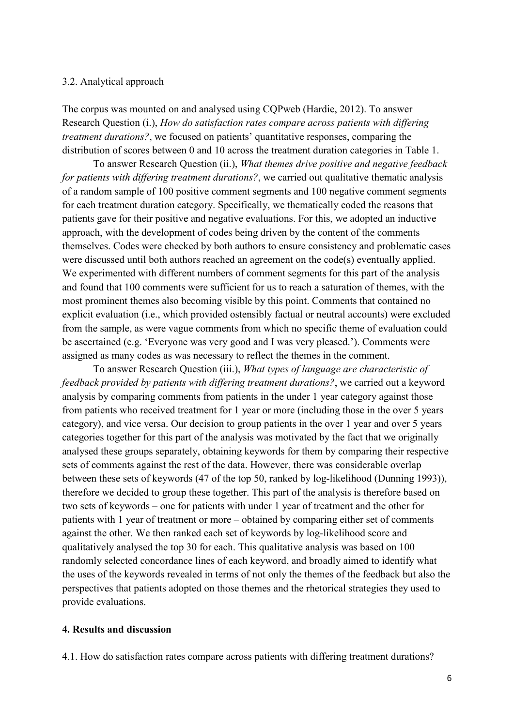#### 3.2. Analytical approach

The corpus was mounted on and analysed using CQPweb (Hardie, 2012). To answer Research Question (i.), *How do satisfaction rates compare across patients with differing treatment durations?*, we focused on patients' quantitative responses, comparing the distribution of scores between 0 and 10 across the treatment duration categories in Table 1.

To answer Research Question (ii.), *What themes drive positive and negative feedback for patients with differing treatment durations?*, we carried out qualitative thematic analysis of a random sample of 100 positive comment segments and 100 negative comment segments for each treatment duration category. Specifically, we thematically coded the reasons that patients gave for their positive and negative evaluations. For this, we adopted an inductive approach, with the development of codes being driven by the content of the comments themselves. Codes were checked by both authors to ensure consistency and problematic cases were discussed until both authors reached an agreement on the code(s) eventually applied. We experimented with different numbers of comment segments for this part of the analysis and found that 100 comments were sufficient for us to reach a saturation of themes, with the most prominent themes also becoming visible by this point. Comments that contained no explicit evaluation (i.e., which provided ostensibly factual or neutral accounts) were excluded from the sample, as were vague comments from which no specific theme of evaluation could be ascertained (e.g. 'Everyone was very good and I was very pleased.'). Comments were assigned as many codes as was necessary to reflect the themes in the comment.

To answer Research Question (iii.), *What types of language are characteristic of feedback provided by patients with differing treatment durations?*, we carried out a keyword analysis by comparing comments from patients in the under 1 year category against those from patients who received treatment for 1 year or more (including those in the over 5 years category), and vice versa. Our decision to group patients in the over 1 year and over 5 years categories together for this part of the analysis was motivated by the fact that we originally analysed these groups separately, obtaining keywords for them by comparing their respective sets of comments against the rest of the data. However, there was considerable overlap between these sets of keywords (47 of the top 50, ranked by log-likelihood (Dunning 1993)), therefore we decided to group these together. This part of the analysis is therefore based on two sets of keywords – one for patients with under 1 year of treatment and the other for patients with 1 year of treatment or more – obtained by comparing either set of comments against the other. We then ranked each set of keywords by log-likelihood score and qualitatively analysed the top 30 for each. This qualitative analysis was based on 100 randomly selected concordance lines of each keyword, and broadly aimed to identify what the uses of the keywords revealed in terms of not only the themes of the feedback but also the perspectives that patients adopted on those themes and the rhetorical strategies they used to provide evaluations.

#### **4. Results and discussion**

4.1. How do satisfaction rates compare across patients with differing treatment durations?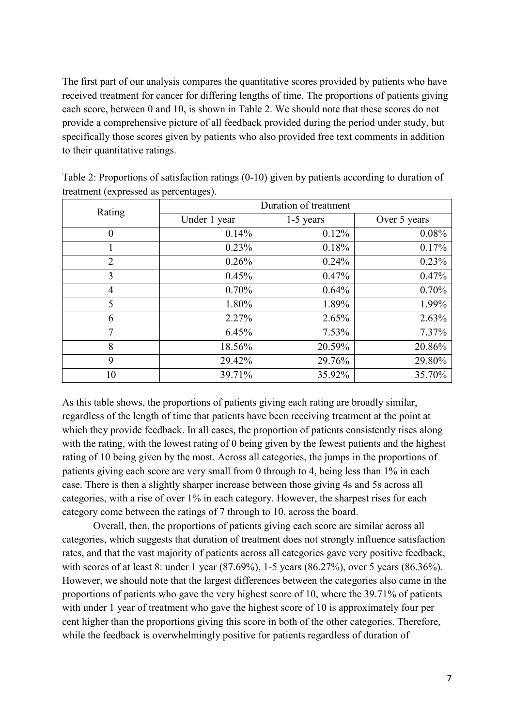The first part of our analysis compares the quantitative scores provided by patients who have received treatment for cancer for differing lengths of time. The proportions of patients giving each score, between 0 and 10, is shown in Table 2. We should note that these scores do not provide a comprehensive picture of all feedback provided during the period under study, but specifically those scores given by patients who also provided free text comments in addition to their quantitative ratings.

| Rating         | Duration of treatment |             |              |  |
|----------------|-----------------------|-------------|--------------|--|
|                | Under 1 year          | $1-5$ years | Over 5 years |  |
| $\theta$       | 0.14%                 | 0.12%       | 0.08%        |  |
| 1              | 0.23%                 | 0.18%       | 0.17%        |  |
| $\overline{2}$ | $0.26\%$              | $0.24\%$    | 0.23%        |  |
| 3              | 0.45%                 | $0.47\%$    | 0.47%        |  |
| 4              | 0.70%                 | 0.64%       | 0.70%        |  |
| 5              | 1.80%                 | 1.89%       | 1.99%        |  |
| 6              | 2.27%                 | 2.65%       | 2.63%        |  |
| 7              | 6.45%                 | 7.53%       | 7.37%        |  |
| 8              | 18.56%                | 20.59%      | 20.86%       |  |
| 9              | 29.42%                | 29.76%      | 29.80%       |  |
| 10             | 39.71%                | 35.92%      | 35.70%       |  |

Table 2: Proportions of satisfaction ratings (0-10) given by patients according to duration of treatment (expressed as percentages).

As this table shows, the proportions of patients giving each rating are broadly similar, regardless of the length of time that patients have been receiving treatment at the point at which they provide feedback. In all cases, the proportion of patients consistently rises along with the rating, with the lowest rating of 0 being given by the fewest patients and the highest rating of 10 being given by the most. Across all categories, the jumps in the proportions of patients giving each score are very small from 0 through to 4, being less than 1% in each case. There is then a slightly sharper increase between those giving 4s and 5s across all categories, with a rise of over 1% in each category. However, the sharpest rises for each category come between the ratings of 7 through to 10, across the board.

Overall, then, the proportions of patients giving each score are similar across all categories, which suggests that duration of treatment does not strongly influence satisfaction rates, and that the vast majority of patients across all categories gave very positive feedback, with scores of at least 8: under 1 year (87.69%), 1-5 years (86.27%), over 5 years (86.36%). However, we should note that the largest differences between the categories also came in the proportions of patients who gave the very highest score of 10, where the 39.71% of patients with under 1 year of treatment who gave the highest score of 10 is approximately four per cent higher than the proportions giving this score in both of the other categories. Therefore, while the feedback is overwhelmingly positive for patients regardless of duration of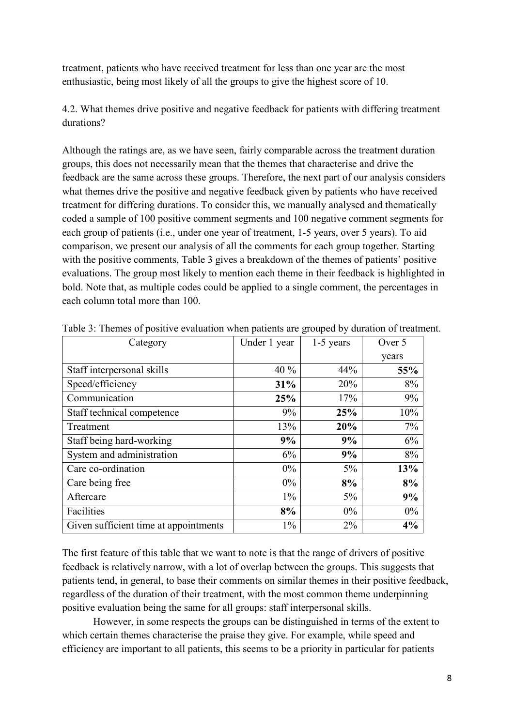treatment, patients who have received treatment for less than one year are the most enthusiastic, being most likely of all the groups to give the highest score of 10.

4.2. What themes drive positive and negative feedback for patients with differing treatment durations?

Although the ratings are, as we have seen, fairly comparable across the treatment duration groups, this does not necessarily mean that the themes that characterise and drive the feedback are the same across these groups. Therefore, the next part of our analysis considers what themes drive the positive and negative feedback given by patients who have received treatment for differing durations. To consider this, we manually analysed and thematically coded a sample of 100 positive comment segments and 100 negative comment segments for each group of patients (i.e., under one year of treatment, 1-5 years, over 5 years). To aid comparison, we present our analysis of all the comments for each group together. Starting with the positive comments, Table 3 gives a breakdown of the themes of patients' positive evaluations. The group most likely to mention each theme in their feedback is highlighted in bold. Note that, as multiple codes could be applied to a single comment, the percentages in each column total more than 100.

| Category                              | Under 1 year | $1-5$ years | Over 5 |
|---------------------------------------|--------------|-------------|--------|
|                                       |              |             | years  |
| Staff interpersonal skills            | $40\%$       | 44%         | 55%    |
| Speed/efficiency                      | 31%          | 20%         | 8%     |
| Communication                         | 25%          | 17%         | 9%     |
| Staff technical competence            | 9%           | 25%         | 10%    |
| Treatment                             | 13%          | 20%         | 7%     |
| Staff being hard-working              | 9%           | 9%          | 6%     |
| System and administration             | 6%           | 9%          | 8%     |
| Care co-ordination                    | $0\%$        | $5\%$       | 13%    |
| Care being free                       | $0\%$        | 8%          | 8%     |
| Aftercare                             | $1\%$        | $5\%$       | 9%     |
| Facilities                            | 8%           | $0\%$       | $0\%$  |
| Given sufficient time at appointments | $1\%$        | $2\%$       | 4%     |

Table 3: Themes of positive evaluation when patients are grouped by duration of treatment.

The first feature of this table that we want to note is that the range of drivers of positive feedback is relatively narrow, with a lot of overlap between the groups. This suggests that patients tend, in general, to base their comments on similar themes in their positive feedback, regardless of the duration of their treatment, with the most common theme underpinning positive evaluation being the same for all groups: staff interpersonal skills.

However, in some respects the groups can be distinguished in terms of the extent to which certain themes characterise the praise they give. For example, while speed and efficiency are important to all patients, this seems to be a priority in particular for patients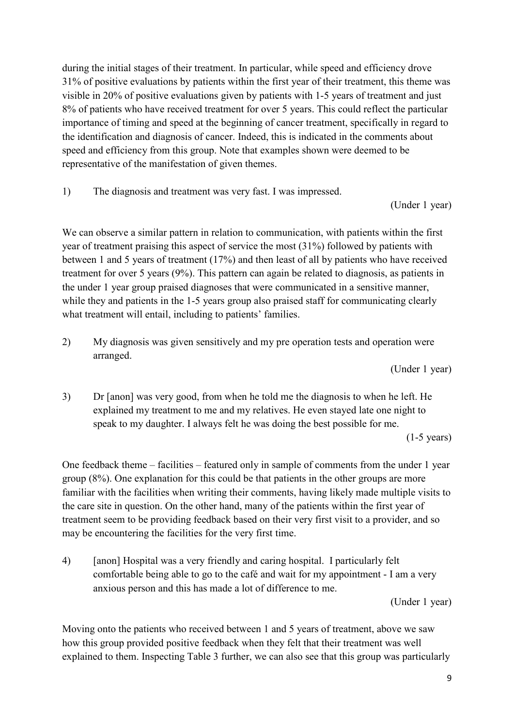during the initial stages of their treatment. In particular, while speed and efficiency drove 31% of positive evaluations by patients within the first year of their treatment, this theme was visible in 20% of positive evaluations given by patients with 1-5 years of treatment and just 8% of patients who have received treatment for over 5 years. This could reflect the particular importance of timing and speed at the beginning of cancer treatment, specifically in regard to the identification and diagnosis of cancer. Indeed, this is indicated in the comments about speed and efficiency from this group. Note that examples shown were deemed to be representative of the manifestation of given themes.

1) The diagnosis and treatment was very fast. I was impressed.

(Under 1 year)

We can observe a similar pattern in relation to communication, with patients within the first year of treatment praising this aspect of service the most (31%) followed by patients with between 1 and 5 years of treatment (17%) and then least of all by patients who have received treatment for over 5 years (9%). This pattern can again be related to diagnosis, as patients in the under 1 year group praised diagnoses that were communicated in a sensitive manner, while they and patients in the 1-5 years group also praised staff for communicating clearly what treatment will entail, including to patients' families.

2) My diagnosis was given sensitively and my pre operation tests and operation were arranged.

(Under 1 year)

3) Dr [anon] was very good, from when he told me the diagnosis to when he left. He explained my treatment to me and my relatives. He even stayed late one night to speak to my daughter. I always felt he was doing the best possible for me.

(1-5 years)

One feedback theme – facilities – featured only in sample of comments from the under 1 year group (8%). One explanation for this could be that patients in the other groups are more familiar with the facilities when writing their comments, having likely made multiple visits to the care site in question. On the other hand, many of the patients within the first year of treatment seem to be providing feedback based on their very first visit to a provider, and so may be encountering the facilities for the very first time.

4) [anon] Hospital was a very friendly and caring hospital. I particularly felt comfortable being able to go to the café and wait for my appointment - I am a very anxious person and this has made a lot of difference to me.

(Under 1 year)

Moving onto the patients who received between 1 and 5 years of treatment, above we saw how this group provided positive feedback when they felt that their treatment was well explained to them. Inspecting Table 3 further, we can also see that this group was particularly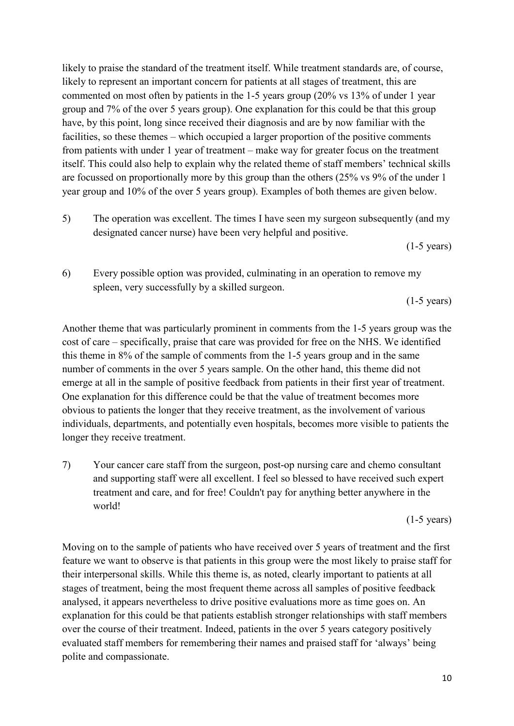likely to praise the standard of the treatment itself. While treatment standards are, of course, likely to represent an important concern for patients at all stages of treatment, this are commented on most often by patients in the 1-5 years group (20% vs 13% of under 1 year group and 7% of the over 5 years group). One explanation for this could be that this group have, by this point, long since received their diagnosis and are by now familiar with the facilities, so these themes – which occupied a larger proportion of the positive comments from patients with under 1 year of treatment – make way for greater focus on the treatment itself. This could also help to explain why the related theme of staff members' technical skills are focussed on proportionally more by this group than the others (25% vs 9% of the under 1 year group and 10% of the over 5 years group). Examples of both themes are given below.

5) The operation was excellent. The times I have seen my surgeon subsequently (and my designated cancer nurse) have been very helpful and positive.

(1-5 years)

6) Every possible option was provided, culminating in an operation to remove my spleen, very successfully by a skilled surgeon.

(1-5 years)

Another theme that was particularly prominent in comments from the 1-5 years group was the cost of care – specifically, praise that care was provided for free on the NHS. We identified this theme in 8% of the sample of comments from the 1-5 years group and in the same number of comments in the over 5 years sample. On the other hand, this theme did not emerge at all in the sample of positive feedback from patients in their first year of treatment. One explanation for this difference could be that the value of treatment becomes more obvious to patients the longer that they receive treatment, as the involvement of various individuals, departments, and potentially even hospitals, becomes more visible to patients the longer they receive treatment.

7) Your cancer care staff from the surgeon, post-op nursing care and chemo consultant and supporting staff were all excellent. I feel so blessed to have received such expert treatment and care, and for free! Couldn't pay for anything better anywhere in the world!

(1-5 years)

Moving on to the sample of patients who have received over 5 years of treatment and the first feature we want to observe is that patients in this group were the most likely to praise staff for their interpersonal skills. While this theme is, as noted, clearly important to patients at all stages of treatment, being the most frequent theme across all samples of positive feedback analysed, it appears nevertheless to drive positive evaluations more as time goes on. An explanation for this could be that patients establish stronger relationships with staff members over the course of their treatment. Indeed, patients in the over 5 years category positively evaluated staff members for remembering their names and praised staff for 'always' being polite and compassionate.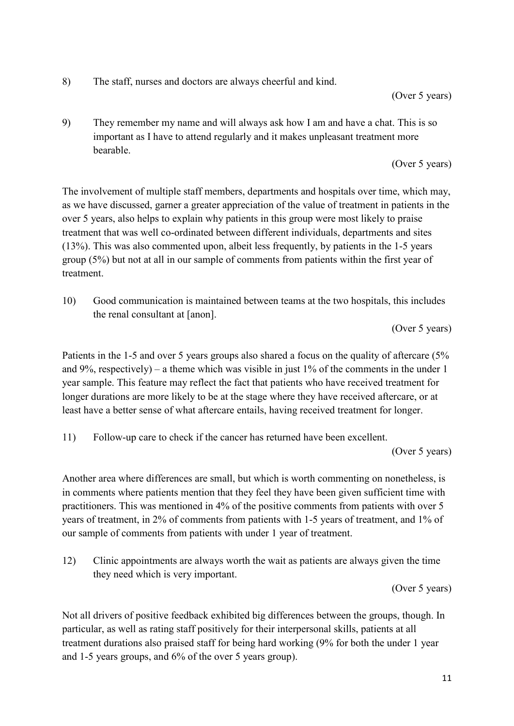8) The staff, nurses and doctors are always cheerful and kind.

## (Over 5 years)

9) They remember my name and will always ask how I am and have a chat. This is so important as I have to attend regularly and it makes unpleasant treatment more bearable.

(Over 5 years)

The involvement of multiple staff members, departments and hospitals over time, which may, as we have discussed, garner a greater appreciation of the value of treatment in patients in the over 5 years, also helps to explain why patients in this group were most likely to praise treatment that was well co-ordinated between different individuals, departments and sites (13%). This was also commented upon, albeit less frequently, by patients in the 1-5 years group (5%) but not at all in our sample of comments from patients within the first year of treatment.

10) Good communication is maintained between teams at the two hospitals, this includes the renal consultant at [anon].

(Over 5 years)

Patients in the 1-5 and over 5 years groups also shared a focus on the quality of aftercare (5%) and 9%, respectively) – a theme which was visible in just 1% of the comments in the under 1 year sample. This feature may reflect the fact that patients who have received treatment for longer durations are more likely to be at the stage where they have received aftercare, or at least have a better sense of what aftercare entails, having received treatment for longer.

11) Follow-up care to check if the cancer has returned have been excellent.

(Over 5 years)

Another area where differences are small, but which is worth commenting on nonetheless, is in comments where patients mention that they feel they have been given sufficient time with practitioners. This was mentioned in 4% of the positive comments from patients with over 5 years of treatment, in 2% of comments from patients with 1-5 years of treatment, and 1% of our sample of comments from patients with under 1 year of treatment.

12) Clinic appointments are always worth the wait as patients are always given the time they need which is very important.

(Over 5 years)

Not all drivers of positive feedback exhibited big differences between the groups, though. In particular, as well as rating staff positively for their interpersonal skills, patients at all treatment durations also praised staff for being hard working (9% for both the under 1 year and 1-5 years groups, and 6% of the over 5 years group).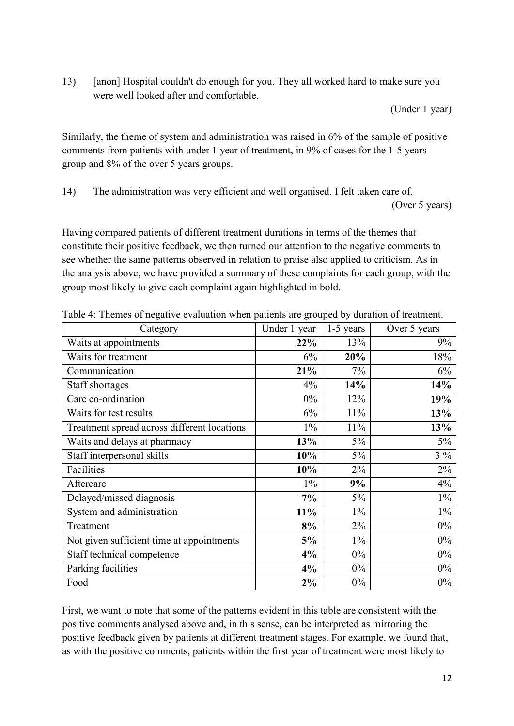13) [anon] Hospital couldn't do enough for you. They all worked hard to make sure you were well looked after and comfortable.

(Under 1 year)

Similarly, the theme of system and administration was raised in 6% of the sample of positive comments from patients with under 1 year of treatment, in 9% of cases for the 1-5 years group and 8% of the over 5 years groups.

14) The administration was very efficient and well organised. I felt taken care of.

(Over 5 years)

Having compared patients of different treatment durations in terms of the themes that constitute their positive feedback, we then turned our attention to the negative comments to see whether the same patterns observed in relation to praise also applied to criticism. As in the analysis above, we have provided a summary of these complaints for each group, with the group most likely to give each complaint again highlighted in bold.

| Category                                    | Under 1 year | 1-5 years | Over 5 years |
|---------------------------------------------|--------------|-----------|--------------|
| Waits at appointments                       | 22%          | 13%       | 9%           |
| Waits for treatment                         | 6%           | 20%       | 18%          |
| Communication                               | 21%          | 7%        | 6%           |
| Staff shortages                             | 4%           | 14%       | 14%          |
| Care co-ordination                          | $0\%$        | 12%       | 19%          |
| Waits for test results                      | 6%           | 11%       | 13%          |
| Treatment spread across different locations | $1\%$        | 11%       | 13%          |
| Waits and delays at pharmacy                | 13%          | 5%        | $5\%$        |
| Staff interpersonal skills                  | 10%          | 5%        | $3\%$        |
| Facilities                                  | 10%          | $2\%$     | 2%           |
| Aftercare                                   | $1\%$        | 9%        | 4%           |
| Delayed/missed diagnosis                    | 7%           | 5%        | $1\%$        |
| System and administration                   | 11%          | $1\%$     | $1\%$        |
| Treatment                                   | 8%           | 2%        | $0\%$        |
| Not given sufficient time at appointments   | 5%           | $1\%$     | $0\%$        |
| Staff technical competence                  | 4%           | $0\%$     | $0\%$        |
| Parking facilities                          | 4%           | $0\%$     | $0\%$        |
| Food                                        | 2%           | $0\%$     | $0\%$        |

Table 4: Themes of negative evaluation when patients are grouped by duration of treatment.

First, we want to note that some of the patterns evident in this table are consistent with the positive comments analysed above and, in this sense, can be interpreted as mirroring the positive feedback given by patients at different treatment stages. For example, we found that, as with the positive comments, patients within the first year of treatment were most likely to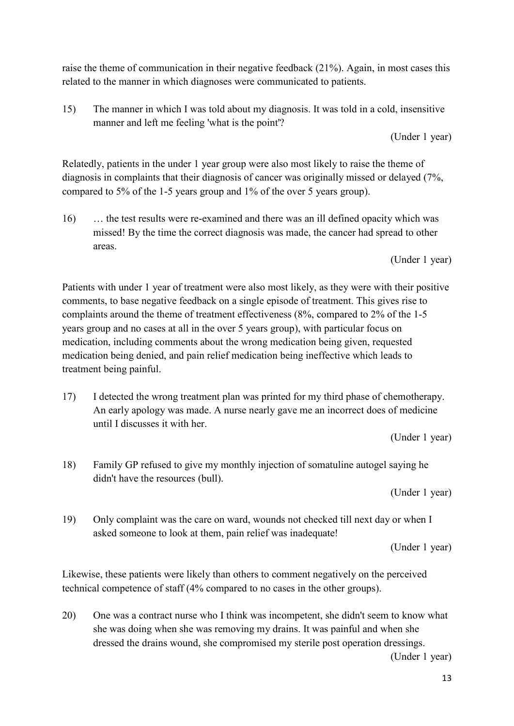raise the theme of communication in their negative feedback (21%). Again, in most cases this related to the manner in which diagnoses were communicated to patients.

15) The manner in which I was told about my diagnosis. It was told in a cold, insensitive manner and left me feeling 'what is the point'?

(Under 1 year)

Relatedly, patients in the under 1 year group were also most likely to raise the theme of diagnosis in complaints that their diagnosis of cancer was originally missed or delayed (7%, compared to 5% of the 1-5 years group and 1% of the over 5 years group).

16) … the test results were re-examined and there was an ill defined opacity which was missed! By the time the correct diagnosis was made, the cancer had spread to other areas.

(Under 1 year)

Patients with under 1 year of treatment were also most likely, as they were with their positive comments, to base negative feedback on a single episode of treatment. This gives rise to complaints around the theme of treatment effectiveness (8%, compared to 2% of the 1-5 years group and no cases at all in the over 5 years group), with particular focus on medication, including comments about the wrong medication being given, requested medication being denied, and pain relief medication being ineffective which leads to treatment being painful.

17) I detected the wrong treatment plan was printed for my third phase of chemotherapy. An early apology was made. A nurse nearly gave me an incorrect does of medicine until I discusses it with her.

(Under 1 year)

18) Family GP refused to give my monthly injection of somatuline autogel saying he didn't have the resources (bull).

(Under 1 year)

19) Only complaint was the care on ward, wounds not checked till next day or when I asked someone to look at them, pain relief was inadequate!

(Under 1 year)

Likewise, these patients were likely than others to comment negatively on the perceived technical competence of staff (4% compared to no cases in the other groups).

20) One was a contract nurse who I think was incompetent, she didn't seem to know what she was doing when she was removing my drains. It was painful and when she dressed the drains wound, she compromised my sterile post operation dressings.

(Under 1 year)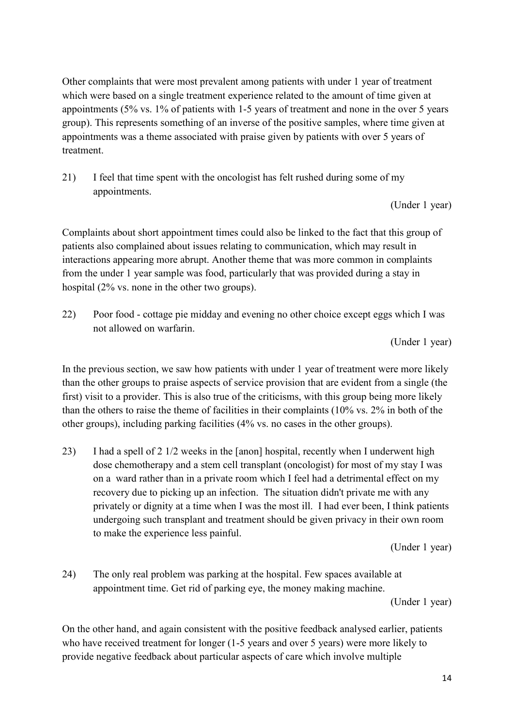Other complaints that were most prevalent among patients with under 1 year of treatment which were based on a single treatment experience related to the amount of time given at appointments (5% vs. 1% of patients with 1-5 years of treatment and none in the over 5 years group). This represents something of an inverse of the positive samples, where time given at appointments was a theme associated with praise given by patients with over 5 years of treatment.

21) I feel that time spent with the oncologist has felt rushed during some of my appointments.

(Under 1 year)

Complaints about short appointment times could also be linked to the fact that this group of patients also complained about issues relating to communication, which may result in interactions appearing more abrupt. Another theme that was more common in complaints from the under 1 year sample was food, particularly that was provided during a stay in hospital (2% vs. none in the other two groups).

22) Poor food - cottage pie midday and evening no other choice except eggs which I was not allowed on warfarin.

(Under 1 year)

In the previous section, we saw how patients with under 1 year of treatment were more likely than the other groups to praise aspects of service provision that are evident from a single (the first) visit to a provider. This is also true of the criticisms, with this group being more likely than the others to raise the theme of facilities in their complaints (10% vs. 2% in both of the other groups), including parking facilities (4% vs. no cases in the other groups).

23) I had a spell of 2 1/2 weeks in the [anon] hospital, recently when I underwent high dose chemotherapy and a stem cell transplant (oncologist) for most of my stay I was on a ward rather than in a private room which I feel had a detrimental effect on my recovery due to picking up an infection. The situation didn't private me with any privately or dignity at a time when I was the most ill. I had ever been, I think patients undergoing such transplant and treatment should be given privacy in their own room to make the experience less painful.

(Under 1 year)

24) The only real problem was parking at the hospital. Few spaces available at appointment time. Get rid of parking eye, the money making machine. (Under 1 year)

On the other hand, and again consistent with the positive feedback analysed earlier, patients who have received treatment for longer (1-5 years and over 5 years) were more likely to provide negative feedback about particular aspects of care which involve multiple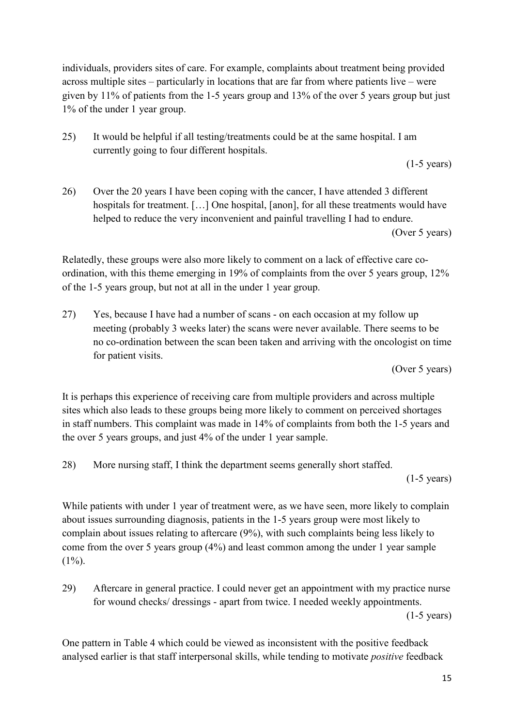individuals, providers sites of care. For example, complaints about treatment being provided across multiple sites – particularly in locations that are far from where patients live – were given by 11% of patients from the 1-5 years group and 13% of the over 5 years group but just 1% of the under 1 year group.

25) It would be helpful if all testing/treatments could be at the same hospital. I am currently going to four different hospitals.

(1-5 years)

26) Over the 20 years I have been coping with the cancer, I have attended 3 different hospitals for treatment. [...] One hospital, [anon], for all these treatments would have helped to reduce the very inconvenient and painful travelling I had to endure. (Over 5 years)

Relatedly, these groups were also more likely to comment on a lack of effective care coordination, with this theme emerging in 19% of complaints from the over 5 years group, 12% of the 1-5 years group, but not at all in the under 1 year group.

27) Yes, because I have had a number of scans - on each occasion at my follow up meeting (probably 3 weeks later) the scans were never available. There seems to be no co-ordination between the scan been taken and arriving with the oncologist on time for patient visits.

(Over 5 years)

It is perhaps this experience of receiving care from multiple providers and across multiple sites which also leads to these groups being more likely to comment on perceived shortages in staff numbers. This complaint was made in 14% of complaints from both the 1-5 years and the over 5 years groups, and just 4% of the under 1 year sample.

28) More nursing staff, I think the department seems generally short staffed.

(1-5 years)

While patients with under 1 year of treatment were, as we have seen, more likely to complain about issues surrounding diagnosis, patients in the 1-5 years group were most likely to complain about issues relating to aftercare (9%), with such complaints being less likely to come from the over 5 years group (4%) and least common among the under 1 year sample  $(1\%)$ .

29) Aftercare in general practice. I could never get an appointment with my practice nurse for wound checks/ dressings - apart from twice. I needed weekly appointments. (1-5 years)

One pattern in Table 4 which could be viewed as inconsistent with the positive feedback analysed earlier is that staff interpersonal skills, while tending to motivate *positive* feedback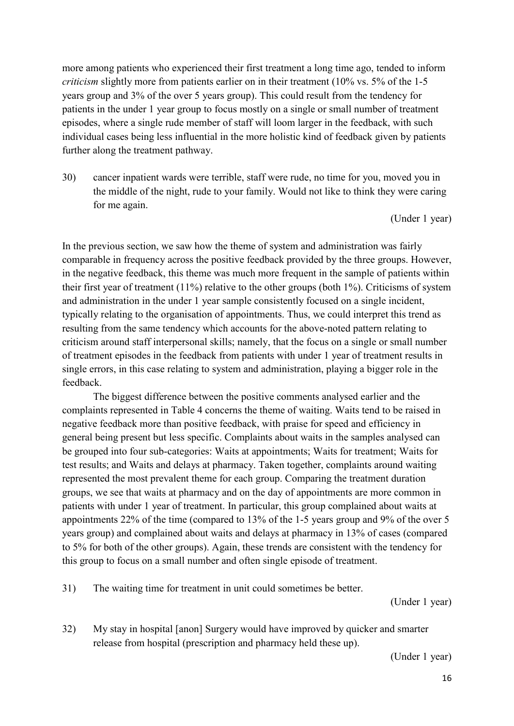more among patients who experienced their first treatment a long time ago, tended to inform *criticism* slightly more from patients earlier on in their treatment (10% vs. 5% of the 1-5 years group and 3% of the over 5 years group). This could result from the tendency for patients in the under 1 year group to focus mostly on a single or small number of treatment episodes, where a single rude member of staff will loom larger in the feedback, with such individual cases being less influential in the more holistic kind of feedback given by patients further along the treatment pathway.

30) cancer inpatient wards were terrible, staff were rude, no time for you, moved you in the middle of the night, rude to your family. Would not like to think they were caring for me again.

(Under 1 year)

In the previous section, we saw how the theme of system and administration was fairly comparable in frequency across the positive feedback provided by the three groups. However, in the negative feedback, this theme was much more frequent in the sample of patients within their first year of treatment (11%) relative to the other groups (both 1%). Criticisms of system and administration in the under 1 year sample consistently focused on a single incident, typically relating to the organisation of appointments. Thus, we could interpret this trend as resulting from the same tendency which accounts for the above-noted pattern relating to criticism around staff interpersonal skills; namely, that the focus on a single or small number of treatment episodes in the feedback from patients with under 1 year of treatment results in single errors, in this case relating to system and administration, playing a bigger role in the feedback.

The biggest difference between the positive comments analysed earlier and the complaints represented in Table 4 concerns the theme of waiting. Waits tend to be raised in negative feedback more than positive feedback, with praise for speed and efficiency in general being present but less specific. Complaints about waits in the samples analysed can be grouped into four sub-categories: Waits at appointments; Waits for treatment; Waits for test results; and Waits and delays at pharmacy. Taken together, complaints around waiting represented the most prevalent theme for each group. Comparing the treatment duration groups, we see that waits at pharmacy and on the day of appointments are more common in patients with under 1 year of treatment. In particular, this group complained about waits at appointments 22% of the time (compared to 13% of the 1-5 years group and 9% of the over 5 years group) and complained about waits and delays at pharmacy in 13% of cases (compared to 5% for both of the other groups). Again, these trends are consistent with the tendency for this group to focus on a small number and often single episode of treatment.

31) The waiting time for treatment in unit could sometimes be better.

(Under 1 year)

32) My stay in hospital [anon] Surgery would have improved by quicker and smarter release from hospital (prescription and pharmacy held these up).

(Under 1 year)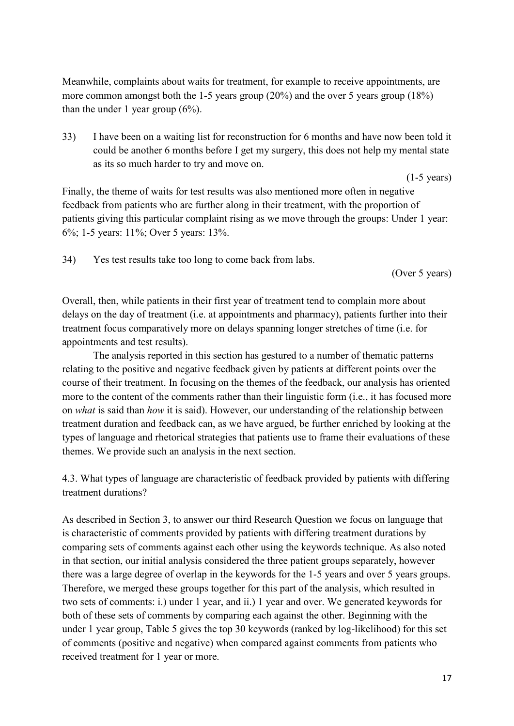Meanwhile, complaints about waits for treatment, for example to receive appointments, are more common amongst both the 1-5 years group (20%) and the over 5 years group (18%) than the under 1 year group (6%).

33) I have been on a waiting list for reconstruction for 6 months and have now been told it could be another 6 months before I get my surgery, this does not help my mental state as its so much harder to try and move on.

Finally, the theme of waits for test results was also mentioned more often in negative feedback from patients who are further along in their treatment, with the proportion of patients giving this particular complaint rising as we move through the groups: Under 1 year: 6%; 1-5 years: 11%; Over 5 years: 13%.

34) Yes test results take too long to come back from labs.

(Over 5 years)

(1-5 years)

Overall, then, while patients in their first year of treatment tend to complain more about delays on the day of treatment (i.e. at appointments and pharmacy), patients further into their treatment focus comparatively more on delays spanning longer stretches of time (i.e. for appointments and test results).

The analysis reported in this section has gestured to a number of thematic patterns relating to the positive and negative feedback given by patients at different points over the course of their treatment. In focusing on the themes of the feedback, our analysis has oriented more to the content of the comments rather than their linguistic form (i.e., it has focused more on *what* is said than *how* it is said). However, our understanding of the relationship between treatment duration and feedback can, as we have argued, be further enriched by looking at the types of language and rhetorical strategies that patients use to frame their evaluations of these themes. We provide such an analysis in the next section.

4.3. What types of language are characteristic of feedback provided by patients with differing treatment durations?

As described in Section 3, to answer our third Research Question we focus on language that is characteristic of comments provided by patients with differing treatment durations by comparing sets of comments against each other using the keywords technique. As also noted in that section, our initial analysis considered the three patient groups separately, however there was a large degree of overlap in the keywords for the 1-5 years and over 5 years groups. Therefore, we merged these groups together for this part of the analysis, which resulted in two sets of comments: i.) under 1 year, and ii.) 1 year and over. We generated keywords for both of these sets of comments by comparing each against the other. Beginning with the under 1 year group, Table 5 gives the top 30 keywords (ranked by log-likelihood) for this set of comments (positive and negative) when compared against comments from patients who received treatment for 1 year or more.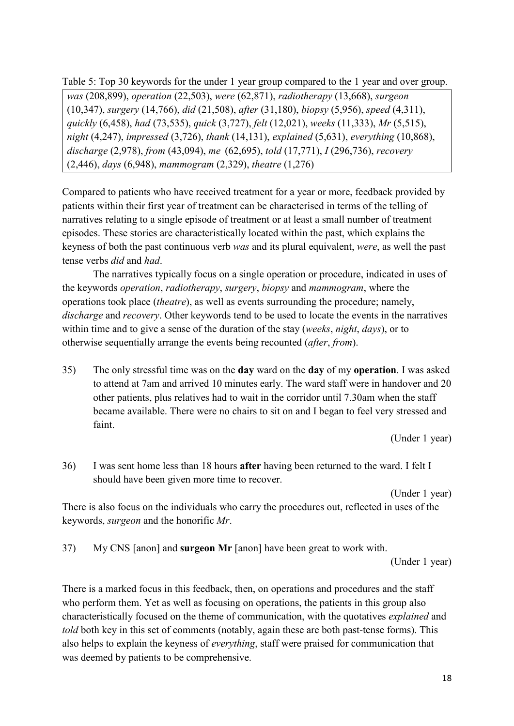Table 5: Top 30 keywords for the under 1 year group compared to the 1 year and over group. *was* (208,899), *operation* (22,503), *were* (62,871), *radiotherapy* (13,668), *surgeon* (10,347), *surgery* (14,766), *did* (21,508), *after* (31,180), *biopsy* (5,956), *speed* (4,311), *quickly* (6,458), *had* (73,535), *quick* (3,727), *felt* (12,021), *weeks* (11,333), *Mr* (5,515), *night* (4,247), *impressed* (3,726), *thank* (14,131), *explained* (5,631), *everything* (10,868), *discharge* (2,978), *from* (43,094), *me* (62,695), *told* (17,771), *I* (296,736), *recovery* (2,446), *days* (6,948), *mammogram* (2,329), *theatre* (1,276)

Compared to patients who have received treatment for a year or more, feedback provided by patients within their first year of treatment can be characterised in terms of the telling of narratives relating to a single episode of treatment or at least a small number of treatment episodes. These stories are characteristically located within the past, which explains the keyness of both the past continuous verb *was* and its plural equivalent, *were*, as well the past tense verbs *did* and *had*.

The narratives typically focus on a single operation or procedure, indicated in uses of the keywords *operation*, *radiotherapy*, *surgery*, *biopsy* and *mammogram*, where the operations took place (*theatre*), as well as events surrounding the procedure; namely, *discharge* and *recovery*. Other keywords tend to be used to locate the events in the narratives within time and to give a sense of the duration of the stay (*weeks*, *night*, *days*), or to otherwise sequentially arrange the events being recounted (*after*, *from*).

35) The only stressful time was on the **day** ward on the **day** of my **operation**. I was asked to attend at 7am and arrived 10 minutes early. The ward staff were in handover and 20 other patients, plus relatives had to wait in the corridor until 7.30am when the staff became available. There were no chairs to sit on and I began to feel very stressed and faint.

(Under 1 year)

36) I was sent home less than 18 hours **after** having been returned to the ward. I felt I should have been given more time to recover.

(Under 1 year)

There is also focus on the individuals who carry the procedures out, reflected in uses of the keywords, *surgeon* and the honorific *Mr*.

37) My CNS [anon] and **surgeon Mr** [anon] have been great to work with.

(Under 1 year)

There is a marked focus in this feedback, then, on operations and procedures and the staff who perform them. Yet as well as focusing on operations, the patients in this group also characteristically focused on the theme of communication, with the quotatives *explained* and *told* both key in this set of comments (notably, again these are both past-tense forms). This also helps to explain the keyness of *everything*, staff were praised for communication that was deemed by patients to be comprehensive.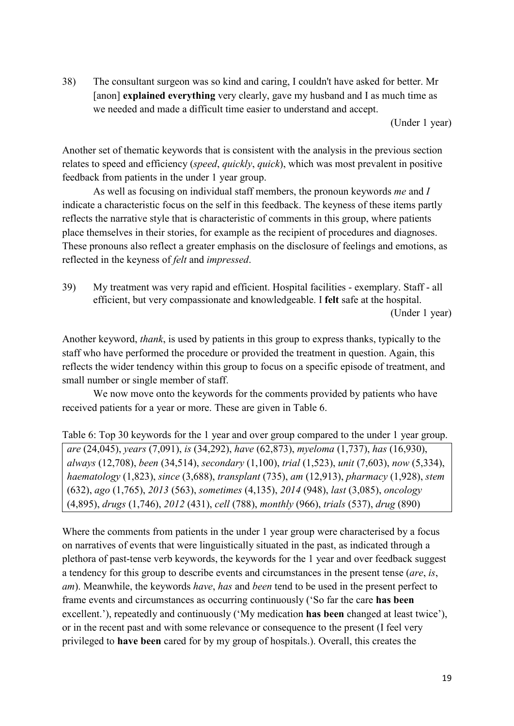38) The consultant surgeon was so kind and caring, I couldn't have asked for better. Mr [anon] **explained everything** very clearly, gave my husband and I as much time as we needed and made a difficult time easier to understand and accept.

(Under 1 year)

Another set of thematic keywords that is consistent with the analysis in the previous section relates to speed and efficiency (*speed*, *quickly*, *quick*), which was most prevalent in positive feedback from patients in the under 1 year group.

As well as focusing on individual staff members, the pronoun keywords *me* and *I* indicate a characteristic focus on the self in this feedback. The keyness of these items partly reflects the narrative style that is characteristic of comments in this group, where patients place themselves in their stories, for example as the recipient of procedures and diagnoses. These pronouns also reflect a greater emphasis on the disclosure of feelings and emotions, as reflected in the keyness of *felt* and *impressed*.

39) My treatment was very rapid and efficient. Hospital facilities - exemplary. Staff - all efficient, but very compassionate and knowledgeable. I **felt** safe at the hospital. (Under 1 year)

Another keyword, *thank*, is used by patients in this group to express thanks, typically to the staff who have performed the procedure or provided the treatment in question. Again, this reflects the wider tendency within this group to focus on a specific episode of treatment, and small number or single member of staff.

We now move onto the keywords for the comments provided by patients who have received patients for a year or more. These are given in Table 6.

Table 6: Top 30 keywords for the 1 year and over group compared to the under 1 year group. *are* (24,045), *years* (7,091), *is* (34,292), *have* (62,873), *myeloma* (1,737), *has* (16,930), *always* (12,708), *been* (34,514), *secondary* (1,100), *trial* (1,523), *unit* (7,603), *now* (5,334), *haematology* (1,823), *since* (3,688), *transplant* (735), *am* (12,913), *pharmacy* (1,928), *stem* (632), *ago* (1,765), *2013* (563), *sometimes* (4,135), *2014* (948), *last* (3,085), *oncology* (4,895), *drugs* (1,746), *2012* (431), *cell* (788), *monthly* (966), *trials* (537), *drug* (890)

Where the comments from patients in the under 1 year group were characterised by a focus on narratives of events that were linguistically situated in the past, as indicated through a plethora of past-tense verb keywords, the keywords for the 1 year and over feedback suggest a tendency for this group to describe events and circumstances in the present tense (*are*, *is*, *am*). Meanwhile, the keywords *have*, *has* and *been* tend to be used in the present perfect to frame events and circumstances as occurring continuously ('So far the care **has been** excellent.'), repeatedly and continuously ('My medication **has been** changed at least twice'), or in the recent past and with some relevance or consequence to the present (I feel very privileged to **have been** cared for by my group of hospitals.). Overall, this creates the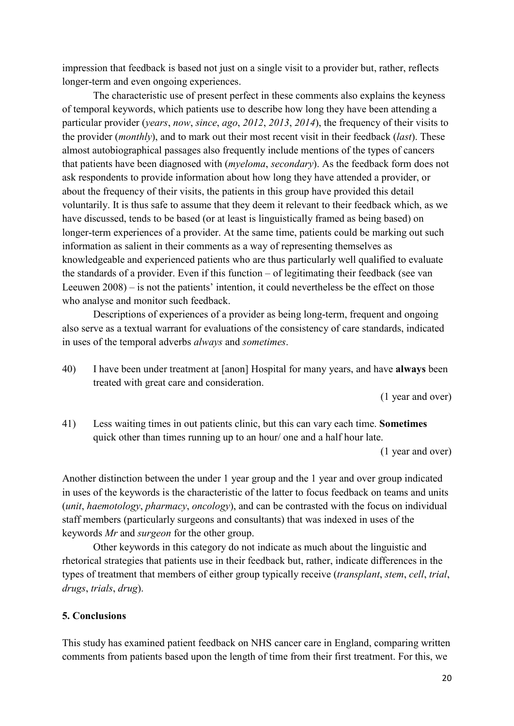impression that feedback is based not just on a single visit to a provider but, rather, reflects longer-term and even ongoing experiences.

The characteristic use of present perfect in these comments also explains the keyness of temporal keywords, which patients use to describe how long they have been attending a particular provider (*years*, *now*, *since*, *ago*, *2012*, *2013*, *2014*), the frequency of their visits to the provider (*monthly*), and to mark out their most recent visit in their feedback (*last*). These almost autobiographical passages also frequently include mentions of the types of cancers that patients have been diagnosed with (*myeloma*, *secondary*). As the feedback form does not ask respondents to provide information about how long they have attended a provider, or about the frequency of their visits, the patients in this group have provided this detail voluntarily. It is thus safe to assume that they deem it relevant to their feedback which, as we have discussed, tends to be based (or at least is linguistically framed as being based) on longer-term experiences of a provider. At the same time, patients could be marking out such information as salient in their comments as a way of representing themselves as knowledgeable and experienced patients who are thus particularly well qualified to evaluate the standards of a provider. Even if this function – of legitimating their feedback (see van Leeuwen 2008) – is not the patients' intention, it could nevertheless be the effect on those who analyse and monitor such feedback.

Descriptions of experiences of a provider as being long-term, frequent and ongoing also serve as a textual warrant for evaluations of the consistency of care standards, indicated in uses of the temporal adverbs *always* and *sometimes*.

40) I have been under treatment at [anon] Hospital for many years, and have **always** been treated with great care and consideration.

(1 year and over)

41) Less waiting times in out patients clinic, but this can vary each time. **Sometimes** quick other than times running up to an hour/ one and a half hour late.

(1 year and over)

Another distinction between the under 1 year group and the 1 year and over group indicated in uses of the keywords is the characteristic of the latter to focus feedback on teams and units (*unit*, *haemotology*, *pharmacy*, *oncology*), and can be contrasted with the focus on individual staff members (particularly surgeons and consultants) that was indexed in uses of the keywords *Mr* and *surgeon* for the other group.

Other keywords in this category do not indicate as much about the linguistic and rhetorical strategies that patients use in their feedback but, rather, indicate differences in the types of treatment that members of either group typically receive (*transplant*, *stem*, *cell*, *trial*, *drugs*, *trials*, *drug*).

## **5. Conclusions**

This study has examined patient feedback on NHS cancer care in England, comparing written comments from patients based upon the length of time from their first treatment. For this, we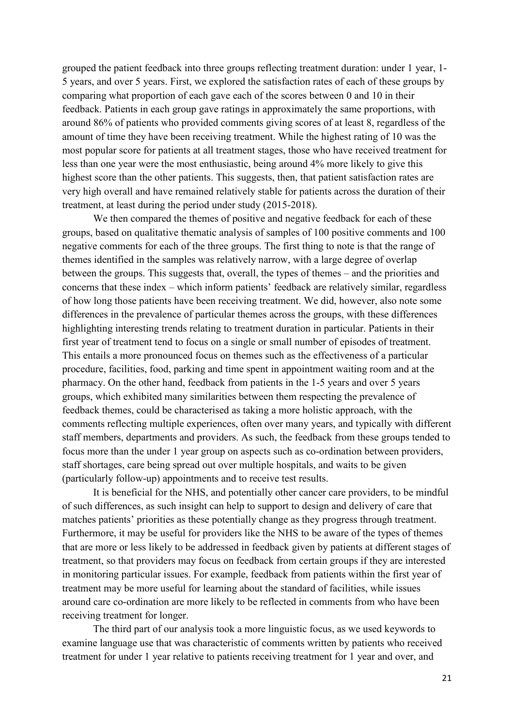grouped the patient feedback into three groups reflecting treatment duration: under 1 year, 1- 5 years, and over 5 years. First, we explored the satisfaction rates of each of these groups by comparing what proportion of each gave each of the scores between 0 and 10 in their feedback. Patients in each group gave ratings in approximately the same proportions, with around 86% of patients who provided comments giving scores of at least 8, regardless of the amount of time they have been receiving treatment. While the highest rating of 10 was the most popular score for patients at all treatment stages, those who have received treatment for less than one year were the most enthusiastic, being around 4% more likely to give this highest score than the other patients. This suggests, then, that patient satisfaction rates are very high overall and have remained relatively stable for patients across the duration of their treatment, at least during the period under study (2015-2018).

We then compared the themes of positive and negative feedback for each of these groups, based on qualitative thematic analysis of samples of 100 positive comments and 100 negative comments for each of the three groups. The first thing to note is that the range of themes identified in the samples was relatively narrow, with a large degree of overlap between the groups. This suggests that, overall, the types of themes – and the priorities and concerns that these index – which inform patients' feedback are relatively similar, regardless of how long those patients have been receiving treatment. We did, however, also note some differences in the prevalence of particular themes across the groups, with these differences highlighting interesting trends relating to treatment duration in particular. Patients in their first year of treatment tend to focus on a single or small number of episodes of treatment. This entails a more pronounced focus on themes such as the effectiveness of a particular procedure, facilities, food, parking and time spent in appointment waiting room and at the pharmacy. On the other hand, feedback from patients in the 1-5 years and over 5 years groups, which exhibited many similarities between them respecting the prevalence of feedback themes, could be characterised as taking a more holistic approach, with the comments reflecting multiple experiences, often over many years, and typically with different staff members, departments and providers. As such, the feedback from these groups tended to focus more than the under 1 year group on aspects such as co-ordination between providers, staff shortages, care being spread out over multiple hospitals, and waits to be given (particularly follow-up) appointments and to receive test results.

It is beneficial for the NHS, and potentially other cancer care providers, to be mindful of such differences, as such insight can help to support to design and delivery of care that matches patients' priorities as these potentially change as they progress through treatment. Furthermore, it may be useful for providers like the NHS to be aware of the types of themes that are more or less likely to be addressed in feedback given by patients at different stages of treatment, so that providers may focus on feedback from certain groups if they are interested in monitoring particular issues. For example, feedback from patients within the first year of treatment may be more useful for learning about the standard of facilities, while issues around care co-ordination are more likely to be reflected in comments from who have been receiving treatment for longer.

The third part of our analysis took a more linguistic focus, as we used keywords to examine language use that was characteristic of comments written by patients who received treatment for under 1 year relative to patients receiving treatment for 1 year and over, and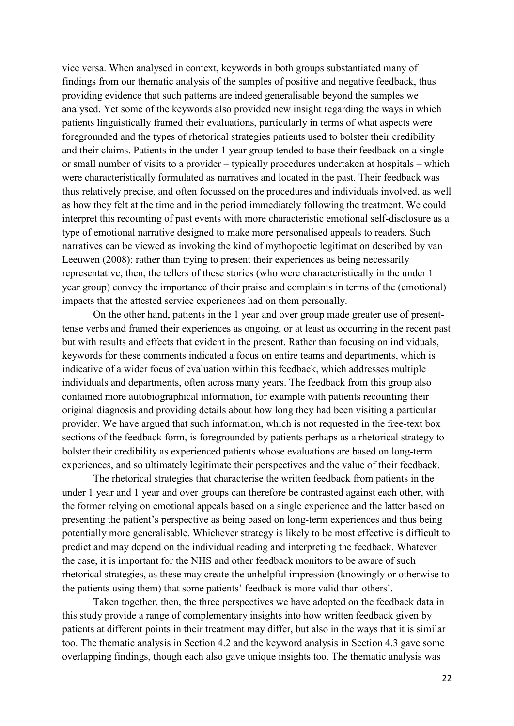vice versa. When analysed in context, keywords in both groups substantiated many of findings from our thematic analysis of the samples of positive and negative feedback, thus providing evidence that such patterns are indeed generalisable beyond the samples we analysed. Yet some of the keywords also provided new insight regarding the ways in which patients linguistically framed their evaluations, particularly in terms of what aspects were foregrounded and the types of rhetorical strategies patients used to bolster their credibility and their claims. Patients in the under 1 year group tended to base their feedback on a single or small number of visits to a provider – typically procedures undertaken at hospitals – which were characteristically formulated as narratives and located in the past. Their feedback was thus relatively precise, and often focussed on the procedures and individuals involved, as well as how they felt at the time and in the period immediately following the treatment. We could interpret this recounting of past events with more characteristic emotional self-disclosure as a type of emotional narrative designed to make more personalised appeals to readers. Such narratives can be viewed as invoking the kind of mythopoetic legitimation described by van Leeuwen (2008); rather than trying to present their experiences as being necessarily representative, then, the tellers of these stories (who were characteristically in the under 1 year group) convey the importance of their praise and complaints in terms of the (emotional) impacts that the attested service experiences had on them personally.

On the other hand, patients in the 1 year and over group made greater use of presenttense verbs and framed their experiences as ongoing, or at least as occurring in the recent past but with results and effects that evident in the present. Rather than focusing on individuals, keywords for these comments indicated a focus on entire teams and departments, which is indicative of a wider focus of evaluation within this feedback, which addresses multiple individuals and departments, often across many years. The feedback from this group also contained more autobiographical information, for example with patients recounting their original diagnosis and providing details about how long they had been visiting a particular provider. We have argued that such information, which is not requested in the free-text box sections of the feedback form, is foregrounded by patients perhaps as a rhetorical strategy to bolster their credibility as experienced patients whose evaluations are based on long-term experiences, and so ultimately legitimate their perspectives and the value of their feedback.

The rhetorical strategies that characterise the written feedback from patients in the under 1 year and 1 year and over groups can therefore be contrasted against each other, with the former relying on emotional appeals based on a single experience and the latter based on presenting the patient's perspective as being based on long-term experiences and thus being potentially more generalisable. Whichever strategy is likely to be most effective is difficult to predict and may depend on the individual reading and interpreting the feedback. Whatever the case, it is important for the NHS and other feedback monitors to be aware of such rhetorical strategies, as these may create the unhelpful impression (knowingly or otherwise to the patients using them) that some patients' feedback is more valid than others'.

Taken together, then, the three perspectives we have adopted on the feedback data in this study provide a range of complementary insights into how written feedback given by patients at different points in their treatment may differ, but also in the ways that it is similar too. The thematic analysis in Section 4.2 and the keyword analysis in Section 4.3 gave some overlapping findings, though each also gave unique insights too. The thematic analysis was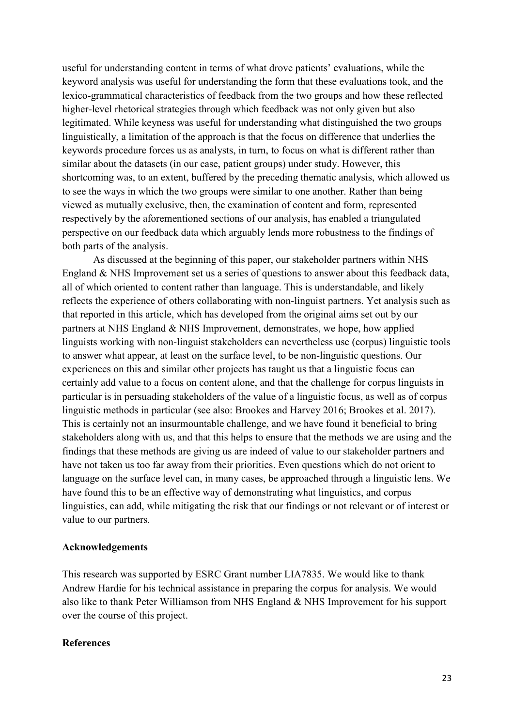useful for understanding content in terms of what drove patients' evaluations, while the keyword analysis was useful for understanding the form that these evaluations took, and the lexico-grammatical characteristics of feedback from the two groups and how these reflected higher-level rhetorical strategies through which feedback was not only given but also legitimated. While keyness was useful for understanding what distinguished the two groups linguistically, a limitation of the approach is that the focus on difference that underlies the keywords procedure forces us as analysts, in turn, to focus on what is different rather than similar about the datasets (in our case, patient groups) under study. However, this shortcoming was, to an extent, buffered by the preceding thematic analysis, which allowed us to see the ways in which the two groups were similar to one another. Rather than being viewed as mutually exclusive, then, the examination of content and form, represented respectively by the aforementioned sections of our analysis, has enabled a triangulated perspective on our feedback data which arguably lends more robustness to the findings of both parts of the analysis.

As discussed at the beginning of this paper, our stakeholder partners within NHS England & NHS Improvement set us a series of questions to answer about this feedback data, all of which oriented to content rather than language. This is understandable, and likely reflects the experience of others collaborating with non-linguist partners. Yet analysis such as that reported in this article, which has developed from the original aims set out by our partners at NHS England & NHS Improvement, demonstrates, we hope, how applied linguists working with non-linguist stakeholders can nevertheless use (corpus) linguistic tools to answer what appear, at least on the surface level, to be non-linguistic questions. Our experiences on this and similar other projects has taught us that a linguistic focus can certainly add value to a focus on content alone, and that the challenge for corpus linguists in particular is in persuading stakeholders of the value of a linguistic focus, as well as of corpus linguistic methods in particular (see also: Brookes and Harvey 2016; Brookes et al. 2017). This is certainly not an insurmountable challenge, and we have found it beneficial to bring stakeholders along with us, and that this helps to ensure that the methods we are using and the findings that these methods are giving us are indeed of value to our stakeholder partners and have not taken us too far away from their priorities. Even questions which do not orient to language on the surface level can, in many cases, be approached through a linguistic lens. We have found this to be an effective way of demonstrating what linguistics, and corpus linguistics, can add, while mitigating the risk that our findings or not relevant or of interest or value to our partners.

## **Acknowledgements**

This research was supported by ESRC Grant number LIA7835. We would like to thank Andrew Hardie for his technical assistance in preparing the corpus for analysis. We would also like to thank Peter Williamson from NHS England & NHS Improvement for his support over the course of this project.

## **References**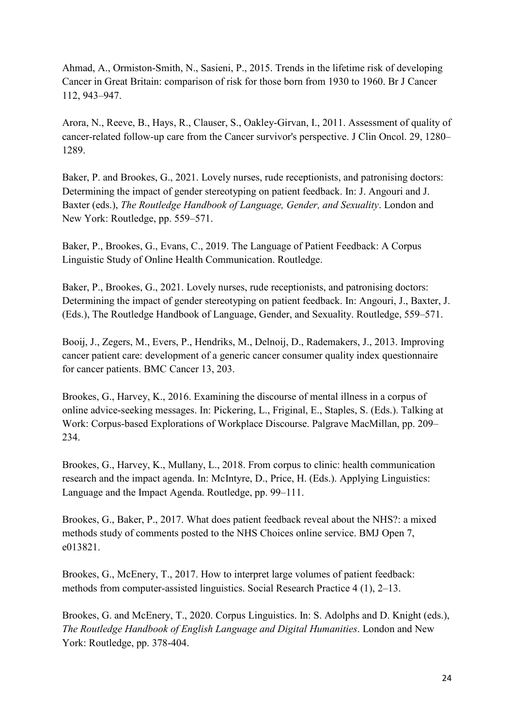Ahmad, A., Ormiston-Smith, N., Sasieni, P., 2015. Trends in the lifetime risk of developing Cancer in Great Britain: comparison of risk for those born from 1930 to 1960. Br J Cancer 112, 943–947.

Arora, N., Reeve, B., Hays, R., Clauser, S., Oakley-Girvan, I., 2011. Assessment of quality of cancer-related follow-up care from the Cancer survivor's perspective. J Clin Oncol. 29, 1280– 1289.

Baker, P. and Brookes, G., 2021. Lovely nurses, rude receptionists, and patronising doctors: Determining the impact of gender stereotyping on patient feedback. In: J. Angouri and J. Baxter (eds.), *The Routledge Handbook of Language, Gender, and Sexuality*. London and New York: Routledge, pp. 559–571.

Baker, P., Brookes, G., Evans, C., 2019. The Language of Patient Feedback: A Corpus Linguistic Study of Online Health Communication. Routledge.

Baker, P., Brookes, G., 2021. Lovely nurses, rude receptionists, and patronising doctors: Determining the impact of gender stereotyping on patient feedback. In: Angouri, J., Baxter, J. (Eds.), The Routledge Handbook of Language, Gender, and Sexuality. Routledge, 559–571.

Booij, J., Zegers, M., Evers, P., Hendriks, M., Delnoij, D., Rademakers, J., 2013. Improving cancer patient care: development of a generic cancer consumer quality index questionnaire for cancer patients. BMC Cancer 13, 203.

Brookes, G., Harvey, K., 2016. Examining the discourse of mental illness in a corpus of online advice-seeking messages. In: Pickering, L., Friginal, E., Staples, S. (Eds.). Talking at Work: Corpus-based Explorations of Workplace Discourse. Palgrave MacMillan, pp. 209– 234.

Brookes, G., Harvey, K., Mullany, L., 2018. From corpus to clinic: health communication research and the impact agenda. In: McIntyre, D., Price, H. (Eds.). Applying Linguistics: Language and the Impact Agenda. Routledge, pp. 99–111.

Brookes, G., Baker, P., 2017. What does patient feedback reveal about the NHS?: a mixed methods study of comments posted to the NHS Choices online service. BMJ Open 7, e013821.

Brookes, G., McEnery, T., 2017. How to interpret large volumes of patient feedback: methods from computer-assisted linguistics. Social Research Practice 4 (1), 2–13.

Brookes, G. and McEnery, T., 2020. Corpus Linguistics. In: S. Adolphs and D. Knight (eds.), *The Routledge Handbook of English Language and Digital Humanities*. London and New York: Routledge, pp. 378-404.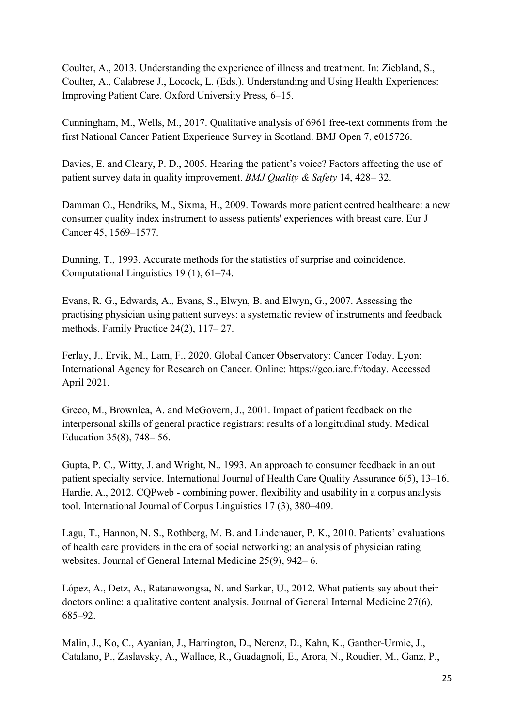Coulter, A., 2013. Understanding the experience of illness and treatment. In: Ziebland, S., Coulter, A., Calabrese J., Locock, L. (Eds.). Understanding and Using Health Experiences: Improving Patient Care. Oxford University Press, 6–15.

Cunningham, M., Wells, M., 2017. Qualitative analysis of 6961 free-text comments from the first National Cancer Patient Experience Survey in Scotland. BMJ Open 7, e015726.

Davies, E. and Cleary, P. D., 2005. Hearing the patient's voice? Factors affecting the use of patient survey data in quality improvement. *BMJ Quality & Safety* 14, 428– 32.

Damman O., Hendriks, M., Sixma, H., 2009. Towards more patient centred healthcare: a new consumer quality index instrument to assess patients' experiences with breast care. Eur J Cancer 45, 1569–1577.

Dunning, T., 1993. Accurate methods for the statistics of surprise and coincidence. Computational Linguistics 19 (1), 61–74.

Evans, R. G., Edwards, A., Evans, S., Elwyn, B. and Elwyn, G., 2007. Assessing the practising physician using patient surveys: a systematic review of instruments and feedback methods. Family Practice 24(2), 117– 27.

Ferlay, J., Ervik, M., Lam, F., 2020. Global Cancer Observatory: Cancer Today. Lyon: International Agency for Research on Cancer. Online: https://gco.iarc.fr/today. Accessed April 2021.

Greco, M., Brownlea, A. and McGovern, J., 2001. Impact of patient feedback on the interpersonal skills of general practice registrars: results of a longitudinal study. Medical Education 35(8), 748– 56.

Gupta, P. C., Witty, J. and Wright, N., 1993. An approach to consumer feedback in an out patient specialty service. International Journal of Health Care Quality Assurance 6(5), 13–16. Hardie, A., 2012. CQPweb - combining power, flexibility and usability in a corpus analysis tool. International Journal of Corpus Linguistics 17 (3), 380–409.

Lagu, T., Hannon, N. S., Rothberg, M. B. and Lindenauer, P. K., 2010. Patients' evaluations of health care providers in the era of social networking: an analysis of physician rating websites. Journal of General Internal Medicine 25(9), 942– 6.

López, A., Detz, A., Ratanawongsa, N. and Sarkar, U., 2012. What patients say about their doctors online: a qualitative content analysis. Journal of General Internal Medicine 27(6), 685–92.

Malin, J., Ko, C., Ayanian, J., Harrington, D., Nerenz, D., Kahn, K., Ganther-Urmie, J., Catalano, P., Zaslavsky, A., Wallace, R., Guadagnoli, E., Arora, N., Roudier, M., Ganz, P.,